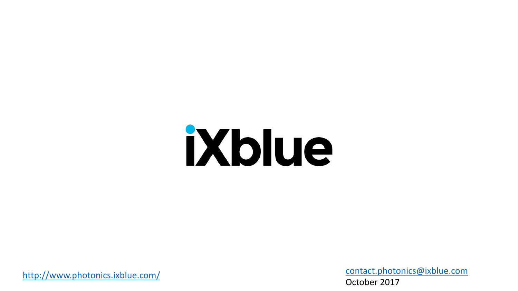# iXblue

[http://www.photonics.ixblue.com](http://www.photonics.ixblue.com/)

[contact.photonics@ixblue.com](mailto:contact.photonics@ixblue.com) October 2017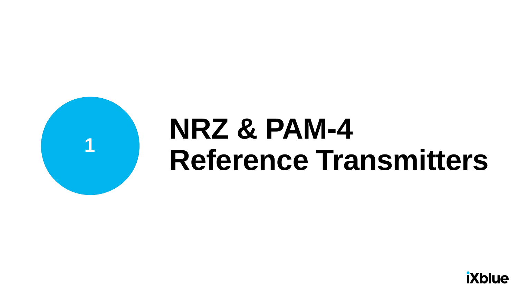

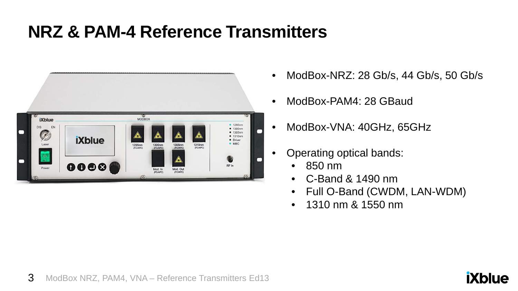

- ModBox-NRZ: 28 Gb/s, 44 Gb/s, 50 Gb/s
- ModBox-PAM4: 28 GBaud
- ModBox-VNA: 40GHz, 65GHz
- Operating optical bands:
	- 850 nm
	- C-Band & 1490 nm
	- Full O-Band (CWDM, LAN-WDM)
	- 1310 nm & 1550 nm

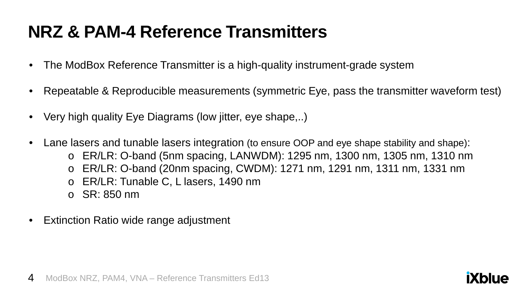- The ModBox Reference Transmitter is a high-quality instrument-grade system
- Repeatable & Reproducible measurements (symmetric Eye, pass the transmitter waveform test)
- Very high quality Eye Diagrams (low jitter, eye shape,..)
- Lane lasers and tunable lasers integration (to ensure OOP and eye shape stability and shape):  $\circ$  ER/LR: O-band (5nm spacing, LANWDM): 1295 nm, 1300 nm, 1305 nm, 1310 nm o ER/LR: O-band (20nm spacing, CWDM): 1271 nm, 1291 nm, 1311 nm, 1331 nm o ER/LR: Tunable C, L lasers, 1490 nm o SR: 850 nm
- Extinction Ratio wide range adjustment

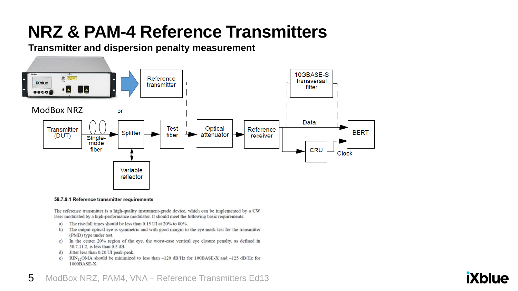**Transmitter and dispersion penalty measurement**



#### 58.7.9.1 Reference transmitter requirements

The reference transmitter is a high-quality instrument-grade device, which can be implemented by a CW laser modulated by a high-performance modulator. It should meet the following basic requirements:

- The rise/fall times should be less than 0.15 UI at 20% to 80%. a)
- The output optical eye is symmetric and with good margin to the eye mask test for the transmitter  $b)$ (PMD) type under test.
- c) In the center 20% region of the eye, the worst-case vertical eye closure penalty, as defined in 58.7.11.2, is less than 0.5 dB.
- Jitter less than 0.20 UI peak-peak. d)
- $RIN_{12}OMA$  should be minimized to less than -120 dB/Hz for 100BASE-X and -125 dB/Hz for e) 1000BASE-X.

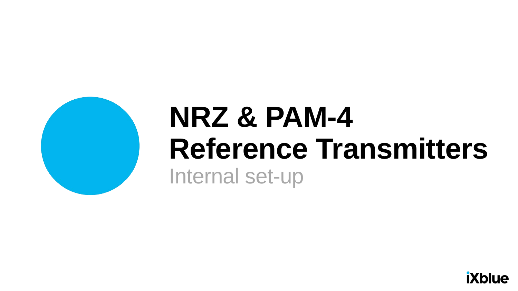

### •**NRZ & PAM-4 Reference Transmitters** Internal set-up

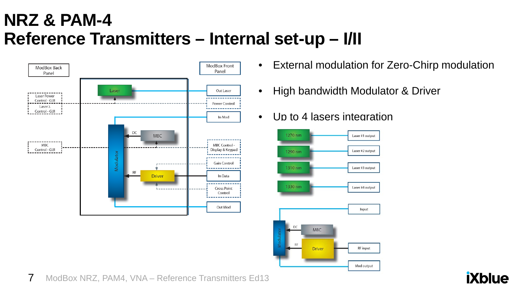#### **NRZ & PAM-4 Reference Transmitters – Internal set-up – I/II**



- External modulation for Zero-Chirp modulation
- High bandwidth Modulator & Driver
- Up to 4 lasers integration

![](_page_6_Figure_5.jpeg)

![](_page_6_Picture_7.jpeg)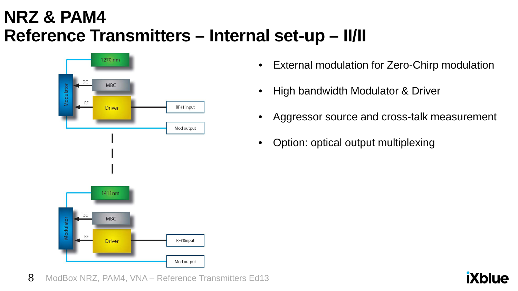#### **NRZ & PAM4 Reference Transmitters – Internal set-up – II/II**

![](_page_7_Figure_1.jpeg)

- External modulation for Zero-Chirp modulation
- High bandwidth Modulator & Driver
- Aggressor source and cross-talk measurement
- Option: optical output multiplexing

![](_page_7_Figure_6.jpeg)

![](_page_7_Picture_8.jpeg)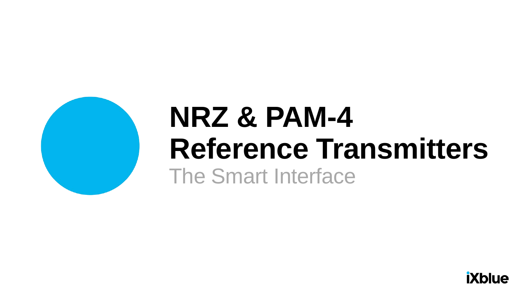![](_page_8_Picture_0.jpeg)

### •**NRZ & PAM-4**  •**Reference Transmitters** The Smart Interface

![](_page_8_Picture_2.jpeg)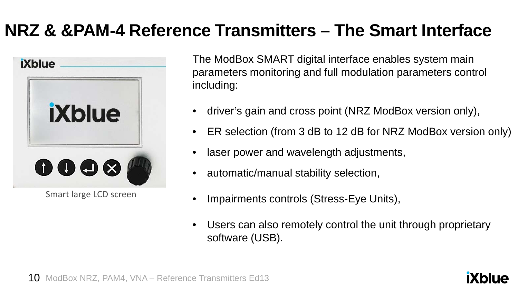### **NRZ & &PAM-4 Reference Transmitters – The Smart Interface**

![](_page_9_Picture_1.jpeg)

Smart large LCD screen

The ModBox SMART digital interface enables system main parameters monitoring and full modulation parameters control including:

- driver's gain and cross point (NRZ ModBox version only),
- ER selection (from 3 dB to 12 dB for NRZ ModBox version only)
- laser power and wavelength adjustments,
- automatic/manual stability selection,
- Impairments controls (Stress-Eye Units),
- Users can also remotely control the unit through proprietary software (USB).

![](_page_9_Picture_11.jpeg)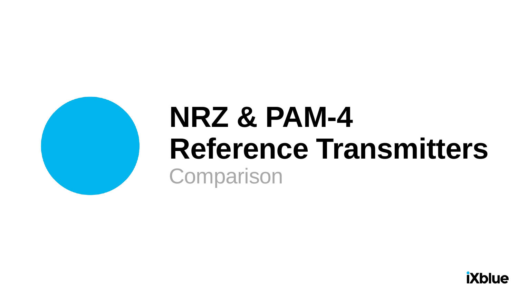![](_page_10_Picture_0.jpeg)

### •**NRZ & PAM-4** •**Reference Transmitters Comparison**

![](_page_10_Picture_2.jpeg)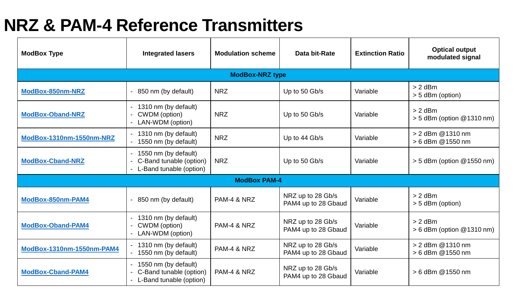| <b>ModBox Type</b>        | <b>Integrated lasers</b>                                                   | <b>Modulation scheme</b> | Data bit-Rate                            | <b>Extinction Ratio</b> | <b>Optical output</b><br>modulated signal |  |  |
|---------------------------|----------------------------------------------------------------------------|--------------------------|------------------------------------------|-------------------------|-------------------------------------------|--|--|
| <b>ModBox-NRZ type</b>    |                                                                            |                          |                                          |                         |                                           |  |  |
| ModBox-850nm-NRZ          | 850 nm (by default)                                                        | <b>NRZ</b>               | Up to 50 Gb/s                            | Variable                | $> 2$ dBm<br>> 5 dBm (option)             |  |  |
| <b>ModBox-Oband-NRZ</b>   | 1310 nm (by default)<br>CWDM (option)<br>LAN-WDM (option)                  | <b>NRZ</b>               | Up to 50 Gb/s                            | Variable                | $> 2$ dBm<br>$> 5$ dBm (option @1310 nm)  |  |  |
| ModBox-1310nm-1550nm-NRZ  | 1310 nm (by default)<br>1550 nm (by default)                               | <b>NRZ</b>               | Up to 44 Gb/s                            | Variable                | > 2 dBm @ 1310 nm<br>> 6 dBm @1550 nm     |  |  |
| <b>ModBox-Cband-NRZ</b>   | 1550 nm (by default)<br>C-Band tunable (option)<br>L-Band tunable (option) | <b>NRZ</b>               | Up to 50 Gb/s                            | Variable                | $>$ 5 dBm (option @1550 nm)               |  |  |
| <b>ModBox PAM-4</b>       |                                                                            |                          |                                          |                         |                                           |  |  |
| ModBox-850nm-PAM4         | 850 nm (by default)                                                        | PAM-4 & NRZ              | NRZ up to 28 Gb/s<br>PAM4 up to 28 Gbaud | Variable                | $> 2$ dBm<br>> 5 dBm (option)             |  |  |
| <b>ModBox-Oband-PAM4</b>  | 1310 nm (by default)<br>CWDM (option)<br>LAN-WDM (option)                  | PAM-4 & NRZ              | NRZ up to 28 Gb/s<br>PAM4 up to 28 Gbaud | Variable                | $> 2$ dBm<br>$> 6$ dBm (option @1310 nm)  |  |  |
| ModBox-1310nm-1550nm-PAM4 | 1310 nm (by default)<br>1550 nm (by default)                               | PAM-4 & NRZ              | NRZ up to 28 Gb/s<br>PAM4 up to 28 Gbaud | Variable                | > 2 dBm @1310 nm<br>> 6 dBm @1550 nm      |  |  |
| <b>ModBox-Cband-PAM4</b>  | 1550 nm (by default)<br>C-Band tunable (option)<br>L-Band tunable (option) | PAM-4 & NRZ              | NRZ up to 28 Gb/s<br>PAM4 up to 28 Gbaud | Variable                | > 6 dBm @1550 nm                          |  |  |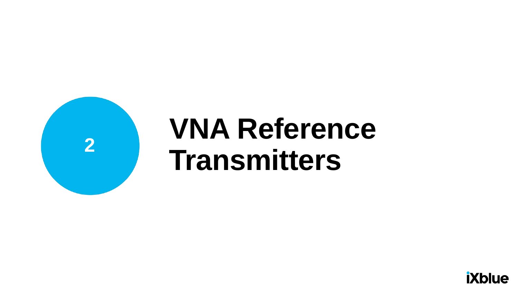![](_page_12_Picture_0.jpeg)

### •**VNA Reference Transmitters**

![](_page_12_Picture_2.jpeg)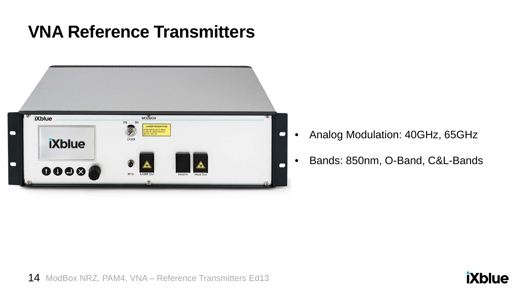#### **VNA Reference Transmitters**

![](_page_13_Picture_1.jpeg)

- Analog Modulation: 40GHz, 65GHz
- Bands: 850nm, O-Band, C&L-Bands

![](_page_13_Picture_5.jpeg)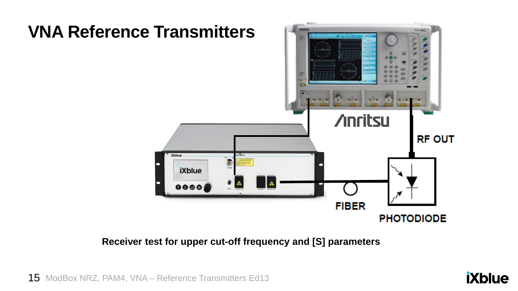![](_page_14_Figure_0.jpeg)

**Receiver test for upper cut-off frequency and [S] parameters**

15 ModBox NRZ, PAM4, VNA - Reference Transmitters Ed13

![](_page_14_Picture_3.jpeg)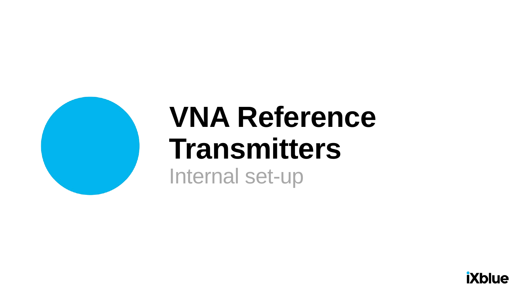![](_page_15_Picture_0.jpeg)

### •**VNA Reference Transmitters** Internal set-up

![](_page_15_Picture_2.jpeg)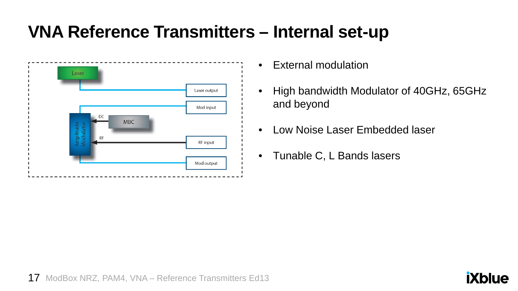#### **VNA Reference Transmitters – Internal set-up**

![](_page_16_Figure_1.jpeg)

- External modulation
- High bandwidth Modulator of 40GHz, 65GHz and beyond
- Low Noise Laser Embedded laser
- Tunable C, L Bands lasers

![](_page_16_Picture_7.jpeg)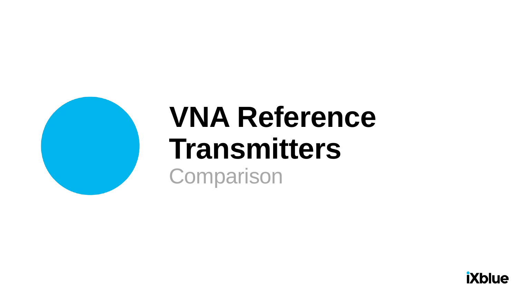![](_page_17_Picture_0.jpeg)

### •**VNA Reference Transmitters Comparison**

![](_page_17_Picture_2.jpeg)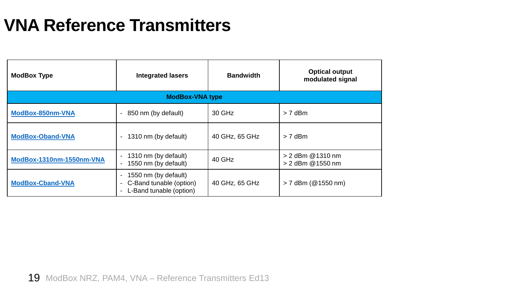#### **VNA Reference Transmitters**

| <b>ModBox Type</b>       | <b>Integrated lasers</b>                                                                                         | <b>Bandwidth</b> | <b>Optical output</b><br>modulated signal |  |  |  |  |
|--------------------------|------------------------------------------------------------------------------------------------------------------|------------------|-------------------------------------------|--|--|--|--|
| <b>ModBox-VNA type</b>   |                                                                                                                  |                  |                                           |  |  |  |  |
| ModBox-850nm-VNA         | 850 nm (by default)<br>$\sim$                                                                                    | 30 GHz           | $> 7$ dBm                                 |  |  |  |  |
| <b>ModBox-Oband-VNA</b>  | 1310 nm (by default)<br>$\overline{\phantom{a}}$                                                                 | 40 GHz, 65 GHz   | $> 7$ dBm                                 |  |  |  |  |
| ModBox-1310nm-1550nm-VNA | 1310 nm (by default)<br>$\sigma_{\rm{max}}$<br>1550 nm (by default)<br>$\overline{\phantom{0}}$                  | 40 GHz           | > 2 dBm @ 1310 nm<br>> 2 dBm @ 1550 nm    |  |  |  |  |
| <b>ModBox-Cband-VNA</b>  | 1550 nm (by default)<br>$\overline{\phantom{0}}$<br>C-Band tunable (option)<br>$\sim$<br>L-Band tunable (option) | 40 GHz, 65 GHz   | $> 7$ dBm (@1550 nm)                      |  |  |  |  |